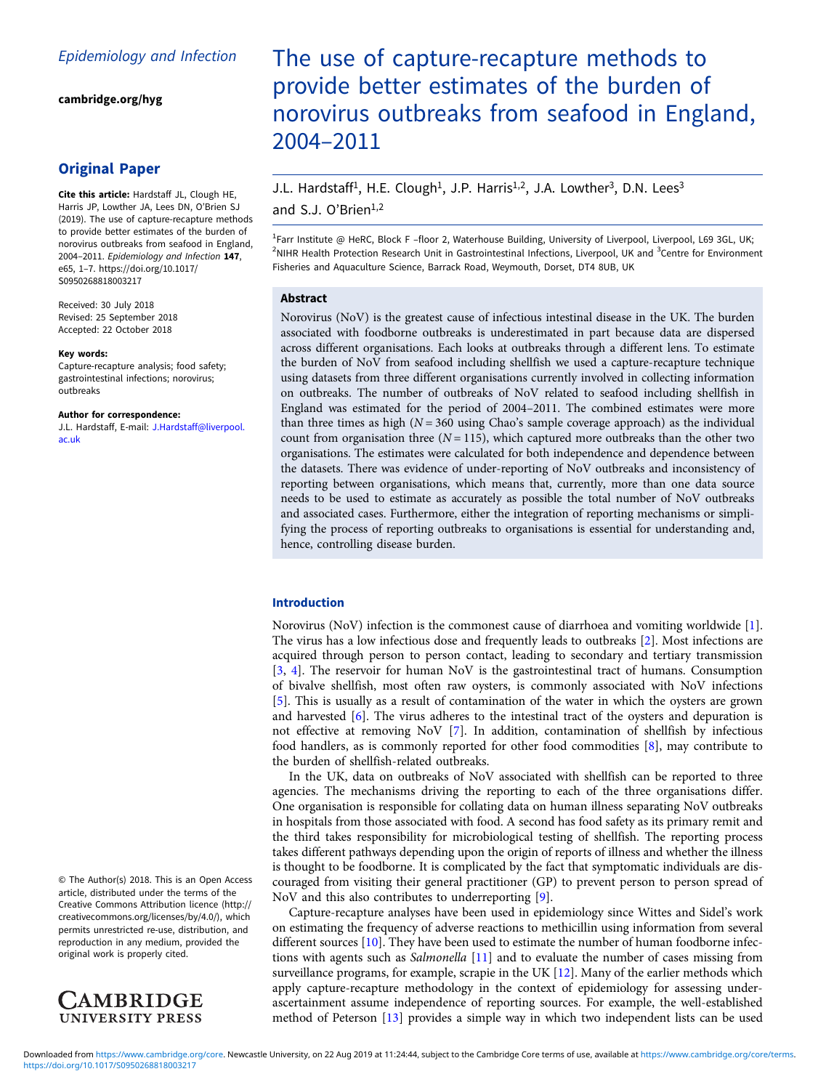[cambridge.org/hyg](https://www.cambridge.org/hyg)

# Original Paper

Cite this article: Hardstaff JL, Clough HE, Harris JP, Lowther JA, Lees DN, O'Brien SJ (2019). The use of capture-recapture methods to provide better estimates of the burden of norovirus outbreaks from seafood in England, 2004–2011. Epidemiology and Infection 147, e65, 1–7. [https://doi.org/10.1017/](https://doi.org/10.1017/S0950268818003217) [S0950268818003217](https://doi.org/10.1017/S0950268818003217)

Received: 30 July 2018 Revised: 25 September 2018 Accepted: 22 October 2018

#### Key words:

Capture-recapture analysis; food safety; gastrointestinal infections; norovirus; outbreaks

Author for correspondence:

J.L. Hardstaff, E-mail: [J.Hardstaff@liverpool.](mailto:J.Hardstaff@liverpool.ac.uk) [ac.uk](mailto:J.Hardstaff@liverpool.ac.uk)

© The Author(s) 2018. This is an Open Access article, distributed under the terms of the Creative Commons Attribution licence (http:// creativecommons.org/licenses/by/4.0/), which permits unrestricted re-use, distribution, and reproduction in any medium, provided the original work is properly cited.



# The use of capture-recapture methods to provide better estimates of the burden of norovirus outbreaks from seafood in England, 2004–2011

# J.L. Hardstaff<sup>1</sup>, H.E. Clough<sup>1</sup>, J.P. Harris<sup>1,2</sup>, J.A. Lowther<sup>3</sup>, D.N. Lees<sup>3</sup> and S.J. O'Brien<sup>1,2</sup>

<sup>1</sup>Farr Institute @ HeRC, Block F -floor 2, Waterhouse Building, University of Liverpool, Liverpool, L69 3GL, UK; <sup>2</sup>NIHR Health Protection Research Unit in Gastrointestinal Infections, Liverpool, UK and <sup>3</sup>Centre for Environment Fisheries and Aquaculture Science, Barrack Road, Weymouth, Dorset, DT4 8UB, UK

#### Abstract

Norovirus (NoV) is the greatest cause of infectious intestinal disease in the UK. The burden associated with foodborne outbreaks is underestimated in part because data are dispersed across different organisations. Each looks at outbreaks through a different lens. To estimate the burden of NoV from seafood including shellfish we used a capture-recapture technique using datasets from three different organisations currently involved in collecting information on outbreaks. The number of outbreaks of NoV related to seafood including shellfish in England was estimated for the period of 2004–2011. The combined estimates were more than three times as high  $(N = 360 \text{ using Chao's sample coverage approach})$  as the individual count from organisation three  $(N = 115)$ , which captured more outbreaks than the other two organisations. The estimates were calculated for both independence and dependence between the datasets. There was evidence of under-reporting of NoV outbreaks and inconsistency of reporting between organisations, which means that, currently, more than one data source needs to be used to estimate as accurately as possible the total number of NoV outbreaks and associated cases. Furthermore, either the integration of reporting mechanisms or simplifying the process of reporting outbreaks to organisations is essential for understanding and, hence, controlling disease burden.

## Introduction

Norovirus (NoV) infection is the commonest cause of diarrhoea and vomiting worldwide [[1](#page-6-0)]. The virus has a low infectious dose and frequently leads to outbreaks [\[2](#page-6-0)]. Most infections are acquired through person to person contact, leading to secondary and tertiary transmission [[3](#page-6-0), [4\]](#page-6-0). The reservoir for human NoV is the gastrointestinal tract of humans. Consumption of bivalve shellfish, most often raw oysters, is commonly associated with NoV infections [[5](#page-6-0)]. This is usually as a result of contamination of the water in which the oysters are grown and harvested  $[6]$  $[6]$ . The virus adheres to the intestinal tract of the oysters and depuration is not effective at removing NoV [\[7\]](#page-6-0). In addition, contamination of shellfish by infectious food handlers, as is commonly reported for other food commodities [\[8\]](#page-6-0), may contribute to the burden of shellfish-related outbreaks.

In the UK, data on outbreaks of NoV associated with shellfish can be reported to three agencies. The mechanisms driving the reporting to each of the three organisations differ. One organisation is responsible for collating data on human illness separating NoV outbreaks in hospitals from those associated with food. A second has food safety as its primary remit and the third takes responsibility for microbiological testing of shellfish. The reporting process takes different pathways depending upon the origin of reports of illness and whether the illness is thought to be foodborne. It is complicated by the fact that symptomatic individuals are discouraged from visiting their general practitioner (GP) to prevent person to person spread of NoV and this also contributes to underreporting [[9](#page-6-0)].

Capture-recapture analyses have been used in epidemiology since Wittes and Sidel's work on estimating the frequency of adverse reactions to methicillin using information from several different sources [\[10](#page-6-0)]. They have been used to estimate the number of human foodborne infections with agents such as Salmonella [\[11\]](#page-6-0) and to evaluate the number of cases missing from surveillance programs, for example, scrapie in the UK [\[12](#page-6-0)]. Many of the earlier methods which apply capture-recapture methodology in the context of epidemiology for assessing underascertainment assume independence of reporting sources. For example, the well-established method of Peterson [\[13\]](#page-6-0) provides a simple way in which two independent lists can be used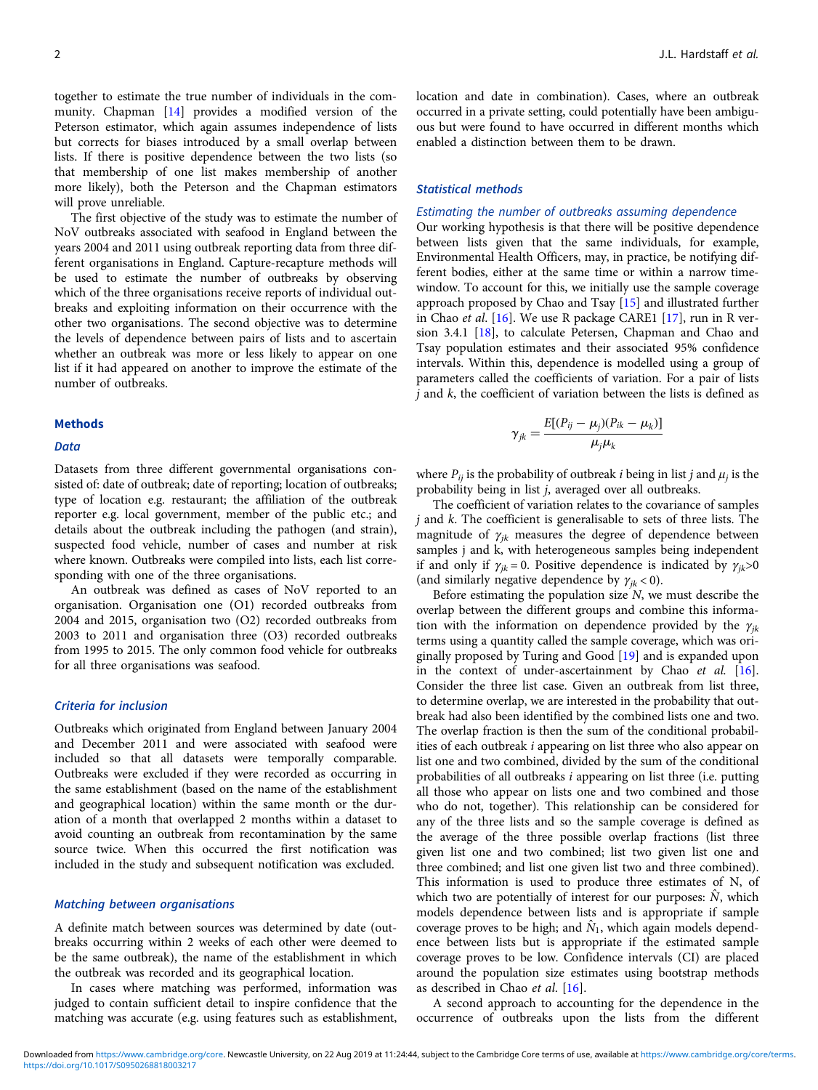together to estimate the true number of individuals in the community. Chapman [\[14](#page-6-0)] provides a modified version of the Peterson estimator, which again assumes independence of lists but corrects for biases introduced by a small overlap between lists. If there is positive dependence between the two lists (so that membership of one list makes membership of another more likely), both the Peterson and the Chapman estimators will prove unreliable.

The first objective of the study was to estimate the number of NoV outbreaks associated with seafood in England between the years 2004 and 2011 using outbreak reporting data from three different organisations in England. Capture-recapture methods will be used to estimate the number of outbreaks by observing which of the three organisations receive reports of individual outbreaks and exploiting information on their occurrence with the other two organisations. The second objective was to determine the levels of dependence between pairs of lists and to ascertain whether an outbreak was more or less likely to appear on one list if it had appeared on another to improve the estimate of the number of outbreaks.

#### **Methods**

#### **Data**

Datasets from three different governmental organisations consisted of: date of outbreak; date of reporting; location of outbreaks; type of location e.g. restaurant; the affiliation of the outbreak reporter e.g. local government, member of the public etc.; and details about the outbreak including the pathogen (and strain), suspected food vehicle, number of cases and number at risk where known. Outbreaks were compiled into lists, each list corresponding with one of the three organisations.

An outbreak was defined as cases of NoV reported to an organisation. Organisation one (O1) recorded outbreaks from 2004 and 2015, organisation two (O2) recorded outbreaks from 2003 to 2011 and organisation three (O3) recorded outbreaks from 1995 to 2015. The only common food vehicle for outbreaks for all three organisations was seafood.

# Criteria for inclusion

Outbreaks which originated from England between January 2004 and December 2011 and were associated with seafood were included so that all datasets were temporally comparable. Outbreaks were excluded if they were recorded as occurring in the same establishment (based on the name of the establishment and geographical location) within the same month or the duration of a month that overlapped 2 months within a dataset to avoid counting an outbreak from recontamination by the same source twice. When this occurred the first notification was included in the study and subsequent notification was excluded.

# Matching between organisations

A definite match between sources was determined by date (outbreaks occurring within 2 weeks of each other were deemed to be the same outbreak), the name of the establishment in which the outbreak was recorded and its geographical location.

In cases where matching was performed, information was judged to contain sufficient detail to inspire confidence that the matching was accurate (e.g. using features such as establishment, location and date in combination). Cases, where an outbreak occurred in a private setting, could potentially have been ambiguous but were found to have occurred in different months which enabled a distinction between them to be drawn.

#### Statistical methods

#### Estimating the number of outbreaks assuming dependence

Our working hypothesis is that there will be positive dependence between lists given that the same individuals, for example, Environmental Health Officers, may, in practice, be notifying different bodies, either at the same time or within a narrow timewindow. To account for this, we initially use the sample coverage approach proposed by Chao and Tsay [\[15](#page-6-0)] and illustrated further in Chao et al. [\[16](#page-6-0)]. We use R package CARE1 [\[17](#page-6-0)], run in R version 3.4.1 [[18\]](#page-6-0), to calculate Petersen, Chapman and Chao and Tsay population estimates and their associated 95% confidence intervals. Within this, dependence is modelled using a group of parameters called the coefficients of variation. For a pair of lists  $j$  and  $k$ , the coefficient of variation between the lists is defined as

$$
\gamma_{jk} = \frac{E[(P_{ij} - \mu_j)(P_{ik} - \mu_k)]}{\mu_j \mu_k}
$$

where  $P_{ii}$  is the probability of outbreak *i* being in list *j* and  $\mu_i$  is the probability being in list j, averaged over all outbreaks.

The coefficient of variation relates to the covariance of samples  $j$  and  $k$ . The coefficient is generalisable to sets of three lists. The magnitude of  $\gamma_{ik}$  measures the degree of dependence between samples j and k, with heterogeneous samples being independent if and only if  $\gamma_{ik} = 0$ . Positive dependence is indicated by  $\gamma_{ik} > 0$ (and similarly negative dependence by  $\gamma_{ik}$  < 0).

Before estimating the population size  $N$ , we must describe the overlap between the different groups and combine this information with the information on dependence provided by the  $\gamma_{ik}$ terms using a quantity called the sample coverage, which was originally proposed by Turing and Good [\[19\]](#page-6-0) and is expanded upon in the context of under-ascertainment by Chao et al. [\[16](#page-6-0)]. Consider the three list case. Given an outbreak from list three, to determine overlap, we are interested in the probability that outbreak had also been identified by the combined lists one and two. The overlap fraction is then the sum of the conditional probabilities of each outbreak i appearing on list three who also appear on list one and two combined, divided by the sum of the conditional probabilities of all outbreaks i appearing on list three (i.e. putting all those who appear on lists one and two combined and those who do not, together). This relationship can be considered for any of the three lists and so the sample coverage is defined as the average of the three possible overlap fractions (list three given list one and two combined; list two given list one and three combined; and list one given list two and three combined). This information is used to produce three estimates of N, of which two are potentially of interest for our purposes:  $\hat{N}$ , which models dependence between lists and is appropriate if sample coverage proves to be high; and  $\hat{N}_1$ , which again models dependence between lists but is appropriate if the estimated sample coverage proves to be low. Confidence intervals (CI) are placed around the population size estimates using bootstrap methods as described in Chao et al. [[16\]](#page-6-0).

A second approach to accounting for the dependence in the occurrence of outbreaks upon the lists from the different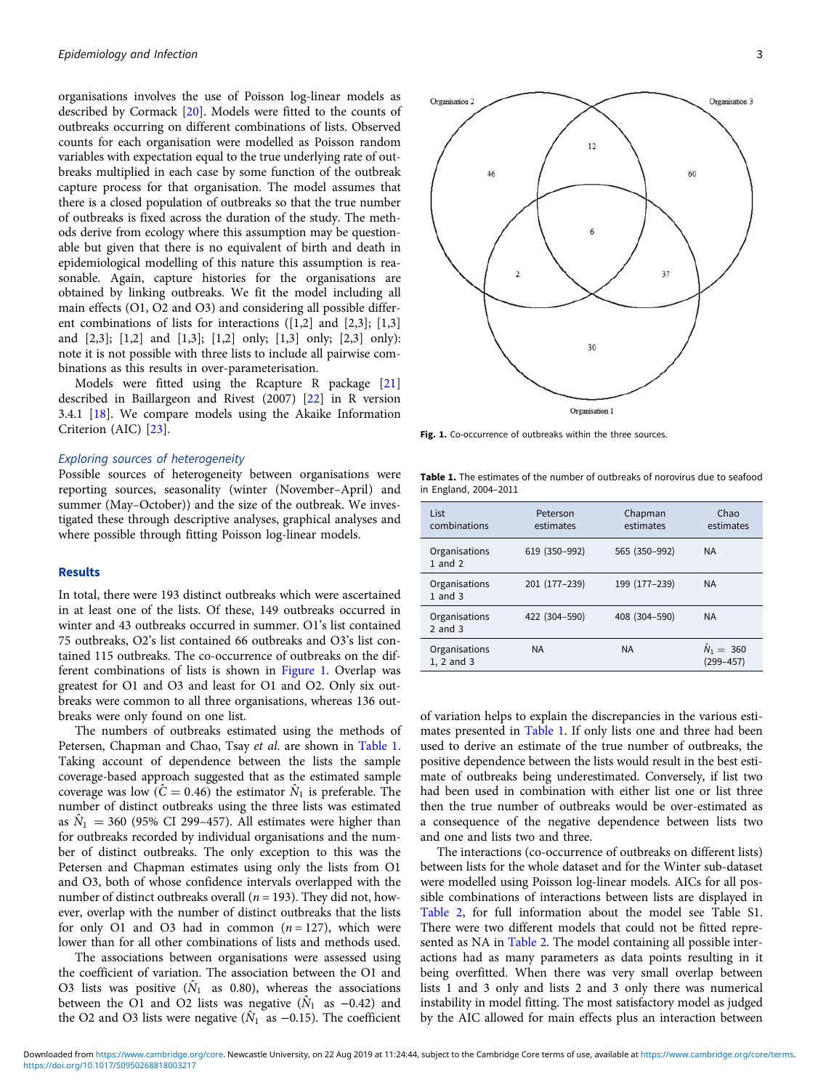organisations involves the use of Poisson log-linear models as described by Cormack [[20\]](#page-6-0). Models were fitted to the counts of outbreaks occurring on different combinations of lists. Observed counts for each organisation were modelled as Poisson random variables with expectation equal to the true underlying rate of outbreaks multiplied in each case by some function of the outbreak capture process for that organisation. The model assumes that there is a closed population of outbreaks so that the true number of outbreaks is fixed across the duration of the study. The methods derive from ecology where this assumption may be questionable but given that there is no equivalent of birth and death in epidemiological modelling of this nature this assumption is reasonable. Again, capture histories for the organisations are obtained by linking outbreaks. We fit the model including all main effects (O1, O2 and O3) and considering all possible different combinations of lists for interactions ([1,2] and [2,3]; [1,3] and [2,3]; [1,2] and [1,3]; [1,2] only; [1,3] only; [2,3] only): note it is not possible with three lists to include all pairwise combinations as this results in over-parameterisation.

Models were fitted using the Rcapture R package [[21\]](#page-6-0) described in Baillargeon and Rivest (2007) [[22\]](#page-6-0) in R version 3.4.1 [\[18](#page-6-0)]. We compare models using the Akaike Information Criterion (AIC) [[23\]](#page-6-0).

## Exploring sources of heterogeneity

Possible sources of heterogeneity between organisations were reporting sources, seasonality (winter (November–April) and summer (May–October)) and the size of the outbreak. We investigated these through descriptive analyses, graphical analyses and where possible through fitting Poisson log-linear models.

# Results

In total, there were 193 distinct outbreaks which were ascertained in at least one of the lists. Of these, 149 outbreaks occurred in winter and 43 outbreaks occurred in summer. O1's list contained 75 outbreaks, O2's list contained 66 outbreaks and O3's list contained 115 outbreaks. The co-occurrence of outbreaks on the different combinations of lists is shown in Figure 1. Overlap was greatest for O1 and O3 and least for O1 and O2. Only six outbreaks were common to all three organisations, whereas 136 outbreaks were only found on one list.

The numbers of outbreaks estimated using the methods of Petersen, Chapman and Chao, Tsay et al. are shown in Table 1. Taking account of dependence between the lists the sample coverage-based approach suggested that as the estimated sample coverage was low  $(\hat{C} = 0.46)$  the estimator  $\hat{N}_1$  is preferable. The number of distinct outbreaks using the three lists was estimated as  $\hat{N}_1 = 360$  (95% CI 299–457). All estimates were higher than for outbreaks recorded by individual organisations and the number of distinct outbreaks. The only exception to this was the Petersen and Chapman estimates using only the lists from O1 and O3, both of whose confidence intervals overlapped with the number of distinct outbreaks overall ( $n = 193$ ). They did not, however, overlap with the number of distinct outbreaks that the lists for only O1 and O3 had in common  $(n = 127)$ , which were lower than for all other combinations of lists and methods used.

The associations between organisations were assessed using the coefficient of variation. The association between the O1 and O3 lists was positive  $(\hat{N}_1$  as 0.80), whereas the associations between the O1 and O2 lists was negative ( $\hat{N}_1$  as -0.42) and the O2 and O3 lists were negative ( $\hat{N}_1$  as −0.15). The coefficient



Fig. 1. Co-occurrence of outbreaks within the three sources.

Table 1. The estimates of the number of outbreaks of norovirus due to seafood in England, 2004–2011

| List<br>combinations         | Peterson<br>estimates | Chapman<br>estimates | Chao<br>estimates                  |
|------------------------------|-----------------------|----------------------|------------------------------------|
| Organisations<br>$1$ and $2$ | 619 (350-992)         | 565 (350-992)        | <b>NA</b>                          |
| Organisations<br>$1$ and $3$ | 201 (177-239)         | 199 (177-239)        | <b>NA</b>                          |
| Organisations<br>$2$ and $3$ | 422 (304-590)         | 408 (304-590)        | <b>NA</b>                          |
| Organisations<br>1, 2 and 3  | <b>NA</b>             | <b>NA</b>            | $\hat{N}_1 = 360$<br>$(299 - 457)$ |

of variation helps to explain the discrepancies in the various estimates presented in Table 1. If only lists one and three had been used to derive an estimate of the true number of outbreaks, the positive dependence between the lists would result in the best estimate of outbreaks being underestimated. Conversely, if list two had been used in combination with either list one or list three then the true number of outbreaks would be over-estimated as a consequence of the negative dependence between lists two and one and lists two and three.

The interactions (co-occurrence of outbreaks on different lists) between lists for the whole dataset and for the Winter sub-dataset were modelled using Poisson log-linear models. AICs for all possible combinations of interactions between lists are displayed in [Table 2,](#page-3-0) for full information about the model see Table S1. There were two different models that could not be fitted represented as NA in [Table 2](#page-3-0). The model containing all possible interactions had as many parameters as data points resulting in it being overfitted. When there was very small overlap between lists 1 and 3 only and lists 2 and 3 only there was numerical instability in model fitting. The most satisfactory model as judged by the AIC allowed for main effects plus an interaction between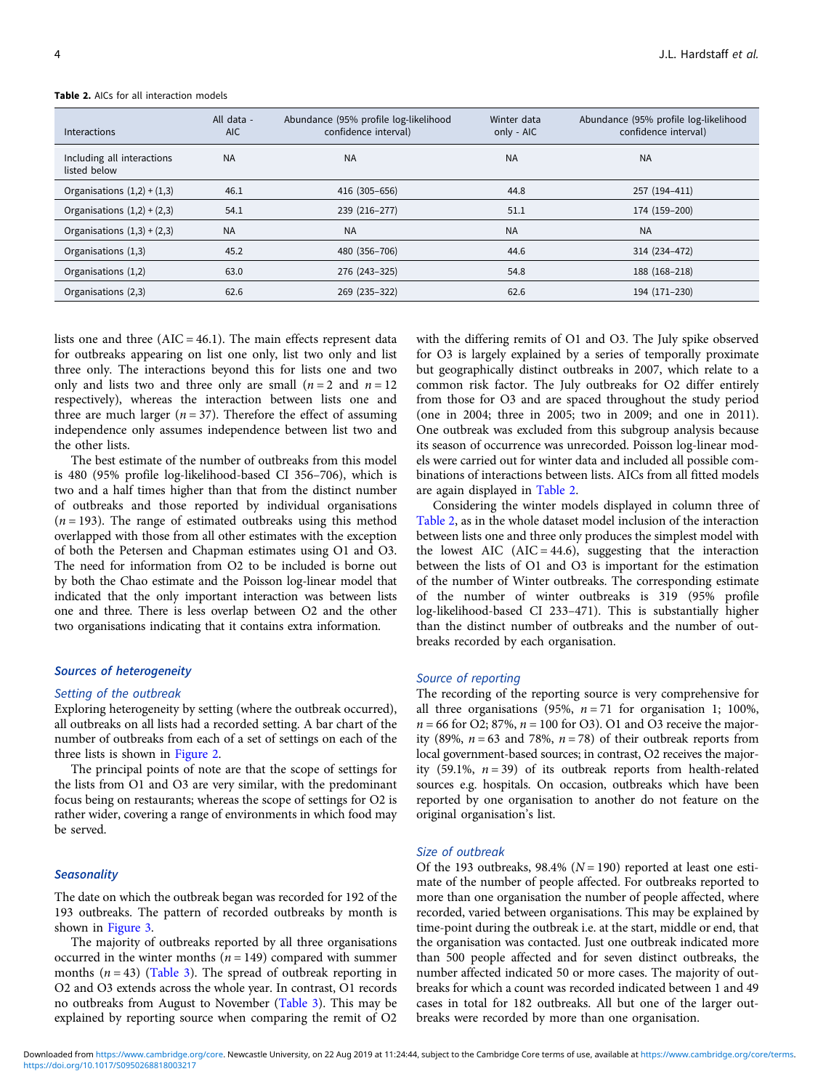| <b>Interactions</b>                        | All data -<br>AIC | Abundance (95% profile log-likelihood<br>confidence interval) | Winter data<br>only - AIC | Abundance (95% profile log-likelihood<br>confidence interval) |
|--------------------------------------------|-------------------|---------------------------------------------------------------|---------------------------|---------------------------------------------------------------|
| Including all interactions<br>listed below | <b>NA</b>         | <b>NA</b>                                                     | <b>NA</b>                 | <b>NA</b>                                                     |
| Organisations $(1,2) + (1,3)$              | 46.1              | 416 (305-656)                                                 | 44.8                      | 257 (194-411)                                                 |
| Organisations $(1,2) + (2,3)$              | 54.1              | 239 (216-277)                                                 | 51.1                      | 174 (159-200)                                                 |
| Organisations $(1,3) + (2,3)$              | <b>NA</b>         | <b>NA</b>                                                     | <b>NA</b>                 | <b>NA</b>                                                     |
| Organisations (1,3)                        | 45.2              | 480 (356-706)                                                 | 44.6                      | 314 (234-472)                                                 |
| Organisations (1,2)                        | 63.0              | 276 (243-325)                                                 | 54.8                      | 188 (168-218)                                                 |
| Organisations (2,3)                        | 62.6              | 269 (235-322)                                                 | 62.6                      | 194 (171-230)                                                 |

<span id="page-3-0"></span>Table 2. AICs for all interaction models

lists one and three  $(AIC = 46.1)$ . The main effects represent data for outbreaks appearing on list one only, list two only and list three only. The interactions beyond this for lists one and two only and lists two and three only are small  $(n = 2 \text{ and } n = 12)$ respectively), whereas the interaction between lists one and three are much larger ( $n = 37$ ). Therefore the effect of assuming independence only assumes independence between list two and the other lists.

The best estimate of the number of outbreaks from this model is 480 (95% profile log-likelihood-based CI 356–706), which is two and a half times higher than that from the distinct number of outbreaks and those reported by individual organisations  $(n = 193)$ . The range of estimated outbreaks using this method overlapped with those from all other estimates with the exception of both the Petersen and Chapman estimates using O1 and O3. The need for information from O2 to be included is borne out by both the Chao estimate and the Poisson log-linear model that indicated that the only important interaction was between lists one and three. There is less overlap between O2 and the other two organisations indicating that it contains extra information.

#### Sources of heterogeneity

#### Setting of the outbreak

Exploring heterogeneity by setting (where the outbreak occurred), all outbreaks on all lists had a recorded setting. A bar chart of the number of outbreaks from each of a set of settings on each of the three lists is shown in [Figure 2](#page-4-0).

The principal points of note are that the scope of settings for the lists from O1 and O3 are very similar, with the predominant focus being on restaurants; whereas the scope of settings for O2 is rather wider, covering a range of environments in which food may be served.

#### **Seasonality**

The date on which the outbreak began was recorded for 192 of the 193 outbreaks. The pattern of recorded outbreaks by month is shown in [Figure 3](#page-4-0).

The majority of outbreaks reported by all three organisations occurred in the winter months ( $n = 149$ ) compared with summer months  $(n = 43)$  [\(Table 3](#page-5-0)). The spread of outbreak reporting in O2 and O3 extends across the whole year. In contrast, O1 records no outbreaks from August to November ([Table 3\)](#page-5-0). This may be explained by reporting source when comparing the remit of O2 with the differing remits of O1 and O3. The July spike observed for O3 is largely explained by a series of temporally proximate but geographically distinct outbreaks in 2007, which relate to a common risk factor. The July outbreaks for O2 differ entirely from those for O3 and are spaced throughout the study period (one in 2004; three in 2005; two in 2009; and one in 2011). One outbreak was excluded from this subgroup analysis because its season of occurrence was unrecorded. Poisson log-linear models were carried out for winter data and included all possible combinations of interactions between lists. AICs from all fitted models are again displayed in Table 2.

Considering the winter models displayed in column three of Table 2, as in the whole dataset model inclusion of the interaction between lists one and three only produces the simplest model with the lowest AIC  $(AIC = 44.6)$ , suggesting that the interaction between the lists of O1 and O3 is important for the estimation of the number of Winter outbreaks. The corresponding estimate of the number of winter outbreaks is 319 (95% profile log-likelihood-based CI 233–471). This is substantially higher than the distinct number of outbreaks and the number of outbreaks recorded by each organisation.

## Source of reporting

The recording of the reporting source is very comprehensive for all three organisations (95%,  $n = 71$  for organisation 1; 100%,  $n = 66$  for O2; 87%,  $n = 100$  for O3). O1 and O3 receive the majority (89%,  $n = 63$  and 78%,  $n = 78$ ) of their outbreak reports from local government-based sources; in contrast, O2 receives the majority (59.1%,  $n = 39$ ) of its outbreak reports from health-related sources e.g. hospitals. On occasion, outbreaks which have been reported by one organisation to another do not feature on the original organisation's list.

#### Size of outbreak

Of the 193 outbreaks, 98.4% ( $N = 190$ ) reported at least one estimate of the number of people affected. For outbreaks reported to more than one organisation the number of people affected, where recorded, varied between organisations. This may be explained by time-point during the outbreak i.e. at the start, middle or end, that the organisation was contacted. Just one outbreak indicated more than 500 people affected and for seven distinct outbreaks, the number affected indicated 50 or more cases. The majority of outbreaks for which a count was recorded indicated between 1 and 49 cases in total for 182 outbreaks. All but one of the larger outbreaks were recorded by more than one organisation.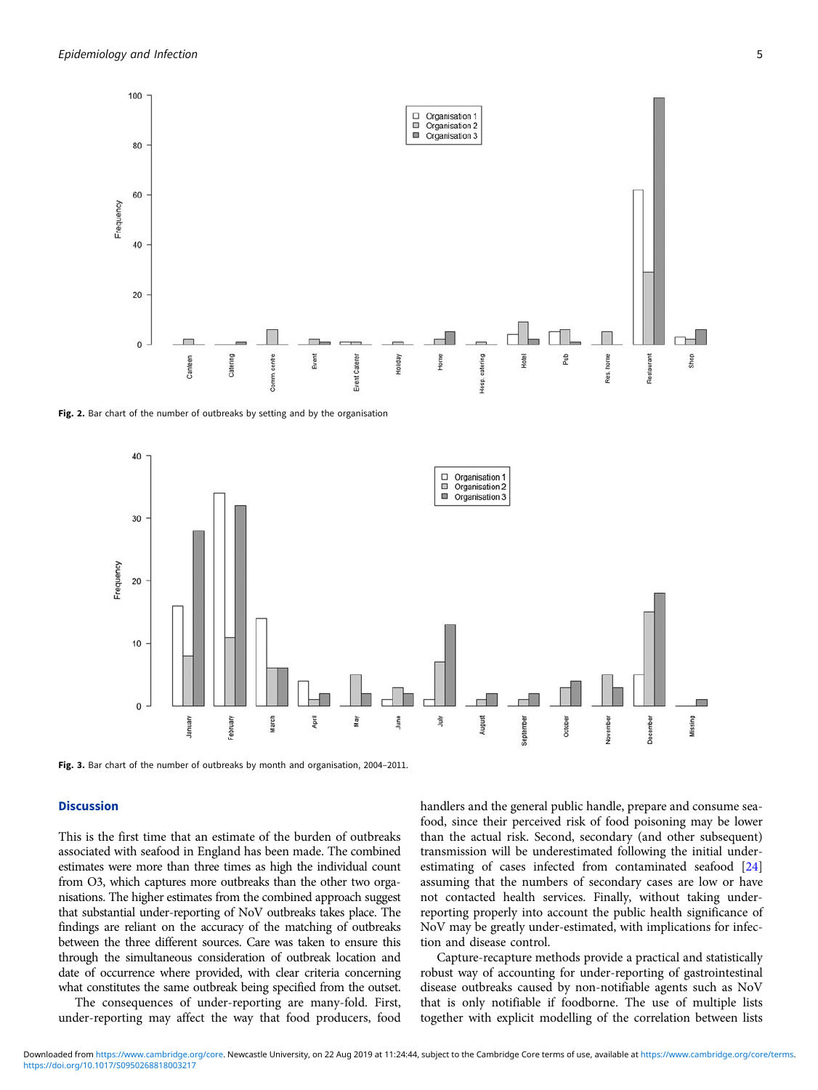<span id="page-4-0"></span>

Fig. 2. Bar chart of the number of outbreaks by setting and by the organisation



Fig. 3. Bar chart of the number of outbreaks by month and organisation, 2004-2011.

#### **Discussion**

This is the first time that an estimate of the burden of outbreaks associated with seafood in England has been made. The combined estimates were more than three times as high the individual count from O3, which captures more outbreaks than the other two organisations. The higher estimates from the combined approach suggest that substantial under-reporting of NoV outbreaks takes place. The findings are reliant on the accuracy of the matching of outbreaks between the three different sources. Care was taken to ensure this through the simultaneous consideration of outbreak location and date of occurrence where provided, with clear criteria concerning what constitutes the same outbreak being specified from the outset.

The consequences of under-reporting are many-fold. First, under-reporting may affect the way that food producers, food handlers and the general public handle, prepare and consume seafood, since their perceived risk of food poisoning may be lower than the actual risk. Second, secondary (and other subsequent) transmission will be underestimated following the initial underestimating of cases infected from contaminated seafood [\[24](#page-6-0)] assuming that the numbers of secondary cases are low or have not contacted health services. Finally, without taking underreporting properly into account the public health significance of NoV may be greatly under-estimated, with implications for infection and disease control.

Capture-recapture methods provide a practical and statistically robust way of accounting for under-reporting of gastrointestinal disease outbreaks caused by non-notifiable agents such as NoV that is only notifiable if foodborne. The use of multiple lists together with explicit modelling of the correlation between lists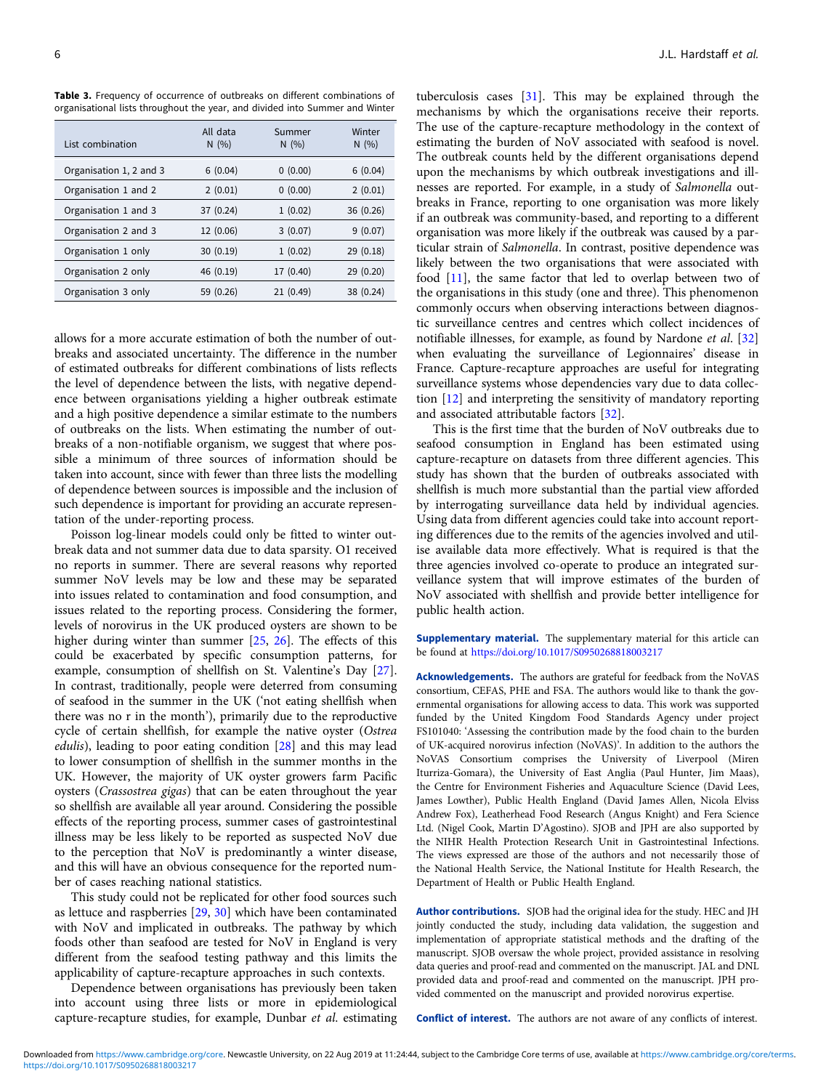<span id="page-5-0"></span>Table 3. Frequency of occurrence of outbreaks on different combinations of organisational lists throughout the year, and divided into Summer and Winter

| List combination        | All data<br>N(96) | Summer<br>N(96) | Winter<br>N(96) |
|-------------------------|-------------------|-----------------|-----------------|
| Organisation 1, 2 and 3 | 6(0.04)           | 0(0.00)         | 6(0.04)         |
| Organisation 1 and 2    | 2(0.01)           | 0(0.00)         | 2(0.01)         |
| Organisation 1 and 3    | 37 (0.24)         | 1(0.02)         | 36(0.26)        |
| Organisation 2 and 3    | 12 (0.06)         | 3(0.07)         | 9(0.07)         |
| Organisation 1 only     | 30(0.19)          | 1(0.02)         | 29(0.18)        |
| Organisation 2 only     | 46 (0.19)         | 17 (0.40)       | 29(0.20)        |
| Organisation 3 only     | 59 (0.26)         | 21(0.49)        | 38 (0.24)       |

allows for a more accurate estimation of both the number of outbreaks and associated uncertainty. The difference in the number of estimated outbreaks for different combinations of lists reflects the level of dependence between the lists, with negative dependence between organisations yielding a higher outbreak estimate and a high positive dependence a similar estimate to the numbers of outbreaks on the lists. When estimating the number of outbreaks of a non-notifiable organism, we suggest that where possible a minimum of three sources of information should be taken into account, since with fewer than three lists the modelling of dependence between sources is impossible and the inclusion of such dependence is important for providing an accurate representation of the under-reporting process.

Poisson log-linear models could only be fitted to winter outbreak data and not summer data due to data sparsity. O1 received no reports in summer. There are several reasons why reported summer NoV levels may be low and these may be separated into issues related to contamination and food consumption, and issues related to the reporting process. Considering the former, levels of norovirus in the UK produced oysters are shown to be higher during winter than summer [[25,](#page-6-0) [26\]](#page-6-0). The effects of this could be exacerbated by specific consumption patterns, for example, consumption of shellfish on St. Valentine's Day [[27\]](#page-6-0). In contrast, traditionally, people were deterred from consuming of seafood in the summer in the UK ('not eating shellfish when there was no r in the month'), primarily due to the reproductive cycle of certain shellfish, for example the native oyster (Ostrea edulis), leading to poor eating condition [\[28](#page-6-0)] and this may lead to lower consumption of shellfish in the summer months in the UK. However, the majority of UK oyster growers farm Pacific oysters (Crassostrea gigas) that can be eaten throughout the year so shellfish are available all year around. Considering the possible effects of the reporting process, summer cases of gastrointestinal illness may be less likely to be reported as suspected NoV due to the perception that NoV is predominantly a winter disease, and this will have an obvious consequence for the reported number of cases reaching national statistics.

This study could not be replicated for other food sources such as lettuce and raspberries [\[29](#page-6-0), [30](#page-6-0)] which have been contaminated with NoV and implicated in outbreaks. The pathway by which foods other than seafood are tested for NoV in England is very different from the seafood testing pathway and this limits the applicability of capture-recapture approaches in such contexts.

Dependence between organisations has previously been taken into account using three lists or more in epidemiological capture-recapture studies, for example, Dunbar et al. estimating

tuberculosis cases [[31\]](#page-6-0). This may be explained through the mechanisms by which the organisations receive their reports. The use of the capture-recapture methodology in the context of estimating the burden of NoV associated with seafood is novel. The outbreak counts held by the different organisations depend upon the mechanisms by which outbreak investigations and illnesses are reported. For example, in a study of Salmonella outbreaks in France, reporting to one organisation was more likely if an outbreak was community-based, and reporting to a different organisation was more likely if the outbreak was caused by a particular strain of Salmonella. In contrast, positive dependence was likely between the two organisations that were associated with food [\[11](#page-6-0)], the same factor that led to overlap between two of the organisations in this study (one and three). This phenomenon commonly occurs when observing interactions between diagnostic surveillance centres and centres which collect incidences of notifiable illnesses, for example, as found by Nardone et al. [\[32](#page-6-0)] when evaluating the surveillance of Legionnaires' disease in France. Capture-recapture approaches are useful for integrating surveillance systems whose dependencies vary due to data collection [[12](#page-6-0)] and interpreting the sensitivity of mandatory reporting and associated attributable factors [\[32](#page-6-0)].

This is the first time that the burden of NoV outbreaks due to seafood consumption in England has been estimated using capture-recapture on datasets from three different agencies. This study has shown that the burden of outbreaks associated with shellfish is much more substantial than the partial view afforded by interrogating surveillance data held by individual agencies. Using data from different agencies could take into account reporting differences due to the remits of the agencies involved and utilise available data more effectively. What is required is that the three agencies involved co-operate to produce an integrated surveillance system that will improve estimates of the burden of NoV associated with shellfish and provide better intelligence for public health action.

Supplementary material. The supplementary material for this article can be found at <https://doi.org/10.1017/S0950268818003217>

Acknowledgements. The authors are grateful for feedback from the NoVAS consortium, CEFAS, PHE and FSA. The authors would like to thank the governmental organisations for allowing access to data. This work was supported funded by the United Kingdom Food Standards Agency under project FS101040: 'Assessing the contribution made by the food chain to the burden of UK-acquired norovirus infection (NoVAS)'. In addition to the authors the NoVAS Consortium comprises the University of Liverpool (Miren Iturriza-Gomara), the University of East Anglia (Paul Hunter, Jim Maas), the Centre for Environment Fisheries and Aquaculture Science (David Lees, James Lowther), Public Health England (David James Allen, Nicola Elviss Andrew Fox), Leatherhead Food Research (Angus Knight) and Fera Science Ltd. (Nigel Cook, Martin D'Agostino). SJOB and JPH are also supported by the NIHR Health Protection Research Unit in Gastrointestinal Infections. The views expressed are those of the authors and not necessarily those of the National Health Service, the National Institute for Health Research, the Department of Health or Public Health England.

Author contributions. SJOB had the original idea for the study. HEC and JH jointly conducted the study, including data validation, the suggestion and implementation of appropriate statistical methods and the drafting of the manuscript. SJOB oversaw the whole project, provided assistance in resolving data queries and proof-read and commented on the manuscript. JAL and DNL provided data and proof-read and commented on the manuscript. JPH provided commented on the manuscript and provided norovirus expertise.

Conflict of interest. The authors are not aware of any conflicts of interest.